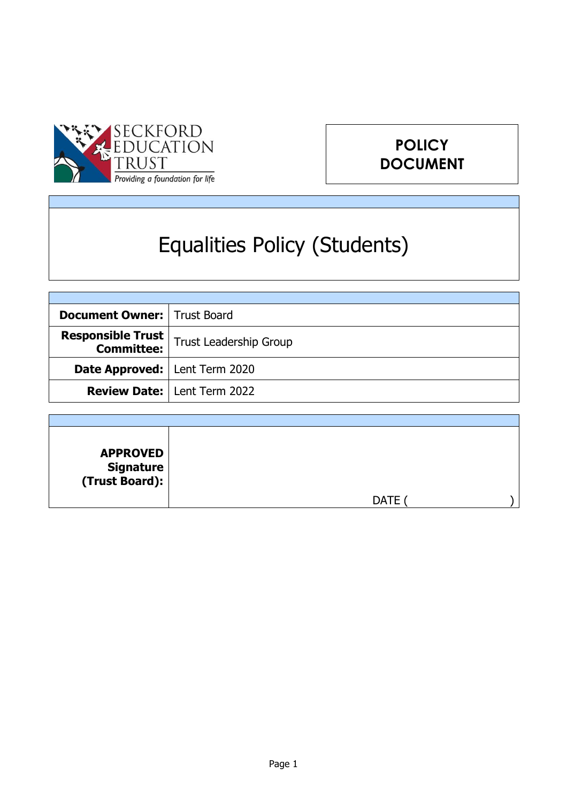

# **POLICY DOCUMENT**

# Equalities Policy (Students)

| <b>Document Owner:   Trust Board</b>   |                                      |
|----------------------------------------|--------------------------------------|
| <b>Responsible Trust</b>               | <b>Trust Leadership Group</b>        |
| <b>Date Approved:</b>   Lent Term 2020 |                                      |
|                                        | <b>Review Date:   Lent Term 2022</b> |

| <b>APPROVED</b><br>  Signature<br>  (Trust Board): |             |  |
|----------------------------------------------------|-------------|--|
|                                                    | <b>DATE</b> |  |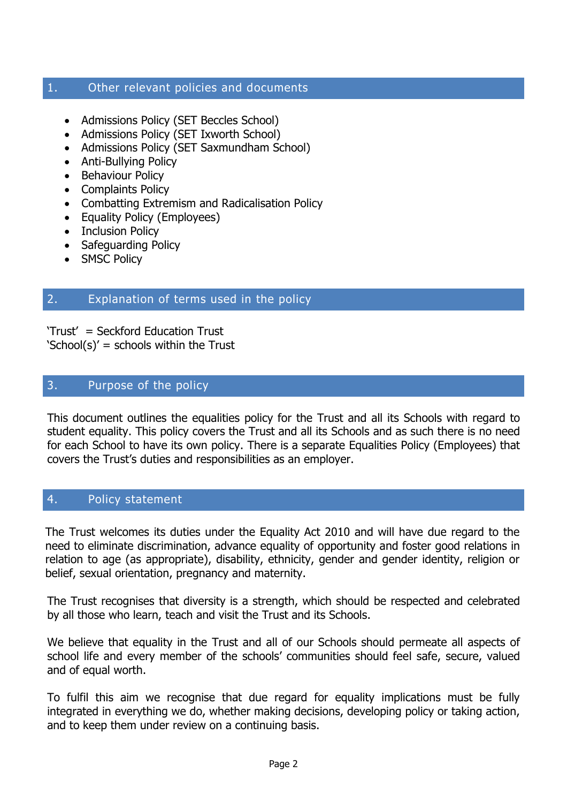#### 1. Other relevant policies and documents

- Admissions Policy (SET Beccles School)
- Admissions Policy (SET Ixworth School)
- Admissions Policy (SET Saxmundham School)
- Anti-Bullying Policy
- Behaviour Policy
- Complaints Policy
- Combatting Extremism and Radicalisation Policy
- Equality Policy (Employees)
- Inclusion Policy
- Safeguarding Policy
- SMSC Policy

### 2. Explanation of terms used in the policy

'Trust' = Seckford Education Trust  $\text{School}(s)' = \text{school}$  within the Trust

#### 3. Purpose of the policy

This document outlines the equalities policy for the Trust and all its Schools with regard to student equality. This policy covers the Trust and all its Schools and as such there is no need for each School to have its own policy. There is a separate Equalities Policy (Employees) that covers the Trust's duties and responsibilities as an employer.

#### 4. Policy statement

The Trust welcomes its duties under the Equality Act 2010 and will have due regard to the need to eliminate discrimination, advance equality of opportunity and foster good relations in relation to age (as appropriate), disability, ethnicity, gender and gender identity, religion or belief, sexual orientation, pregnancy and maternity.

The Trust recognises that diversity is a strength, which should be respected and celebrated by all those who learn, teach and visit the Trust and its Schools.

We believe that equality in the Trust and all of our Schools should permeate all aspects of school life and every member of the schools' communities should feel safe, secure, valued and of equal worth.

To fulfil this aim we recognise that due regard for equality implications must be fully integrated in everything we do, whether making decisions, developing policy or taking action, and to keep them under review on a continuing basis.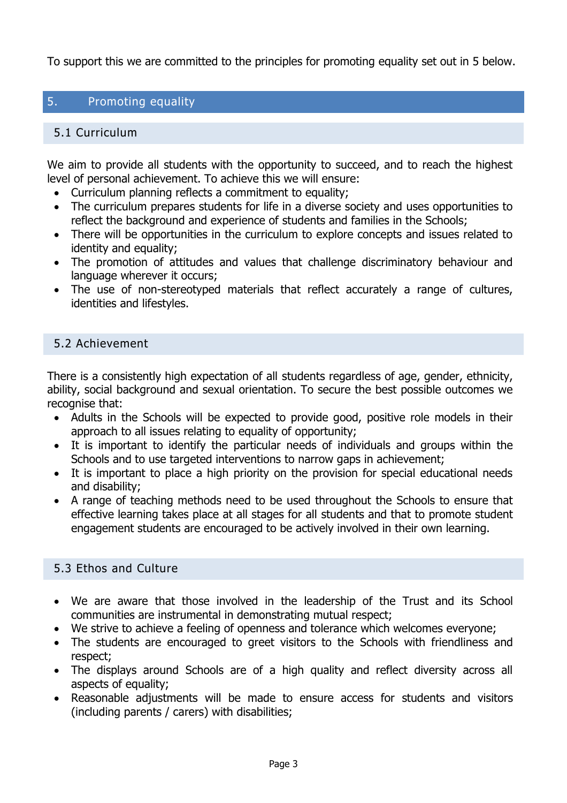To support this we are committed to the principles for promoting equality set out in 5 below.

# 5. Promoting equality

#### 5.1 Curriculum

We aim to provide all students with the opportunity to succeed, and to reach the highest level of personal achievement. To achieve this we will ensure:

- Curriculum planning reflects a commitment to equality;
- The curriculum prepares students for life in a diverse society and uses opportunities to reflect the background and experience of students and families in the Schools;
- There will be opportunities in the curriculum to explore concepts and issues related to identity and equality;
- The promotion of attitudes and values that challenge discriminatory behaviour and language wherever it occurs;
- The use of non-stereotyped materials that reflect accurately a range of cultures, identities and lifestyles.

#### 5.2 Achievement

There is a consistently high expectation of all students regardless of age, gender, ethnicity, ability, social background and sexual orientation. To secure the best possible outcomes we recognise that:

- Adults in the Schools will be expected to provide good, positive role models in their approach to all issues relating to equality of opportunity;
- It is important to identify the particular needs of individuals and groups within the Schools and to use targeted interventions to narrow gaps in achievement;
- It is important to place a high priority on the provision for special educational needs and disability;
- A range of teaching methods need to be used throughout the Schools to ensure that effective learning takes place at all stages for all students and that to promote student engagement students are encouraged to be actively involved in their own learning.

# 5.3 Ethos and Culture

- We are aware that those involved in the leadership of the Trust and its School communities are instrumental in demonstrating mutual respect;
- We strive to achieve a feeling of openness and tolerance which welcomes everyone;
- The students are encouraged to greet visitors to the Schools with friendliness and respect;
- The displays around Schools are of a high quality and reflect diversity across all aspects of equality;
- Reasonable adjustments will be made to ensure access for students and visitors (including parents / carers) with disabilities;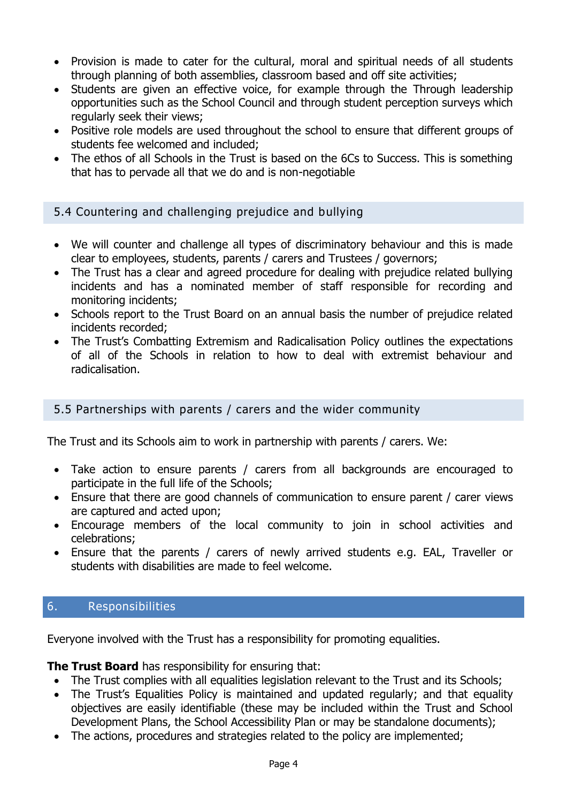- Provision is made to cater for the cultural, moral and spiritual needs of all students through planning of both assemblies, classroom based and off site activities;
- Students are given an effective voice, for example through the Through leadership opportunities such as the School Council and through student perception surveys which regularly seek their views;
- Positive role models are used throughout the school to ensure that different groups of students fee welcomed and included;
- The ethos of all Schools in the Trust is based on the 6Cs to Success. This is something that has to pervade all that we do and is non-negotiable

5.4 Countering and challenging prejudice and bullying

- We will counter and challenge all types of discriminatory behaviour and this is made clear to employees, students, parents / carers and Trustees / governors;
- The Trust has a clear and agreed procedure for dealing with prejudice related bullying incidents and has a nominated member of staff responsible for recording and monitoring incidents;
- Schools report to the Trust Board on an annual basis the number of prejudice related incidents recorded;
- The Trust's Combatting Extremism and Radicalisation Policy outlines the expectations of all of the Schools in relation to how to deal with extremist behaviour and radicalisation.

#### 5.5 Partnerships with parents / carers and the wider community

The Trust and its Schools aim to work in partnership with parents / carers. We:

- Take action to ensure parents / carers from all backgrounds are encouraged to participate in the full life of the Schools;
- Ensure that there are good channels of communication to ensure parent / carer views are captured and acted upon;
- Encourage members of the local community to join in school activities and celebrations;
- Ensure that the parents / carers of newly arrived students e.g. EAL, Traveller or students with disabilities are made to feel welcome.

#### 6. Responsibilities

Everyone involved with the Trust has a responsibility for promoting equalities.

#### **The Trust Board** has responsibility for ensuring that:

- The Trust complies with all equalities legislation relevant to the Trust and its Schools;
- The Trust's Equalities Policy is maintained and updated regularly; and that equality objectives are easily identifiable (these may be included within the Trust and School Development Plans, the School Accessibility Plan or may be standalone documents);
- The actions, procedures and strategies related to the policy are implemented;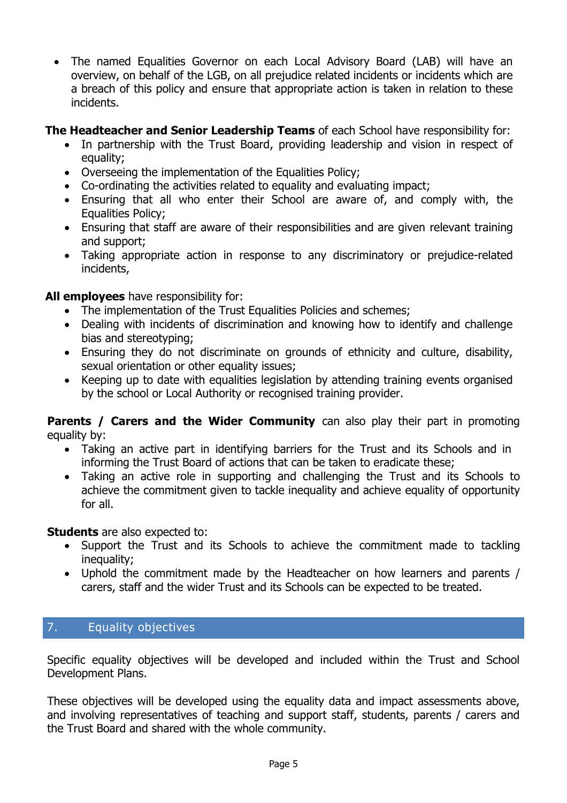• The named Equalities Governor on each Local Advisory Board (LAB) will have an overview, on behalf of the LGB, on all prejudice related incidents or incidents which are a breach of this policy and ensure that appropriate action is taken in relation to these incidents.

#### **The Headteacher and Senior Leadership Teams** of each School have responsibility for:

- In partnership with the Trust Board, providing leadership and vision in respect of equality;
- Overseeing the implementation of the Equalities Policy;
- Co-ordinating the activities related to equality and evaluating impact;
- Ensuring that all who enter their School are aware of, and comply with, the Equalities Policy;
- Ensuring that staff are aware of their responsibilities and are given relevant training and support;
- Taking appropriate action in response to any discriminatory or prejudice-related incidents,

# **All employees** have responsibility for:

- The implementation of the Trust Equalities Policies and schemes;
- Dealing with incidents of discrimination and knowing how to identify and challenge bias and stereotyping;
- Ensuring they do not discriminate on grounds of ethnicity and culture, disability, sexual orientation or other equality issues;
- Keeping up to date with equalities legislation by attending training events organised by the school or Local Authority or recognised training provider.

**Parents / Carers and the Wider Community** can also play their part in promoting equality by:

- Taking an active part in identifying barriers for the Trust and its Schools and in informing the Trust Board of actions that can be taken to eradicate these;
- Taking an active role in supporting and challenging the Trust and its Schools to achieve the commitment given to tackle inequality and achieve equality of opportunity for all.

# **Students** are also expected to:

- Support the Trust and its Schools to achieve the commitment made to tackling inequality;
- Uphold the commitment made by the Headteacher on how learners and parents / carers, staff and the wider Trust and its Schools can be expected to be treated.

# 7. Equality objectives

Specific equality objectives will be developed and included within the Trust and School Development Plans.

These objectives will be developed using the equality data and impact assessments above, and involving representatives of teaching and support staff, students, parents / carers and the Trust Board and shared with the whole community.